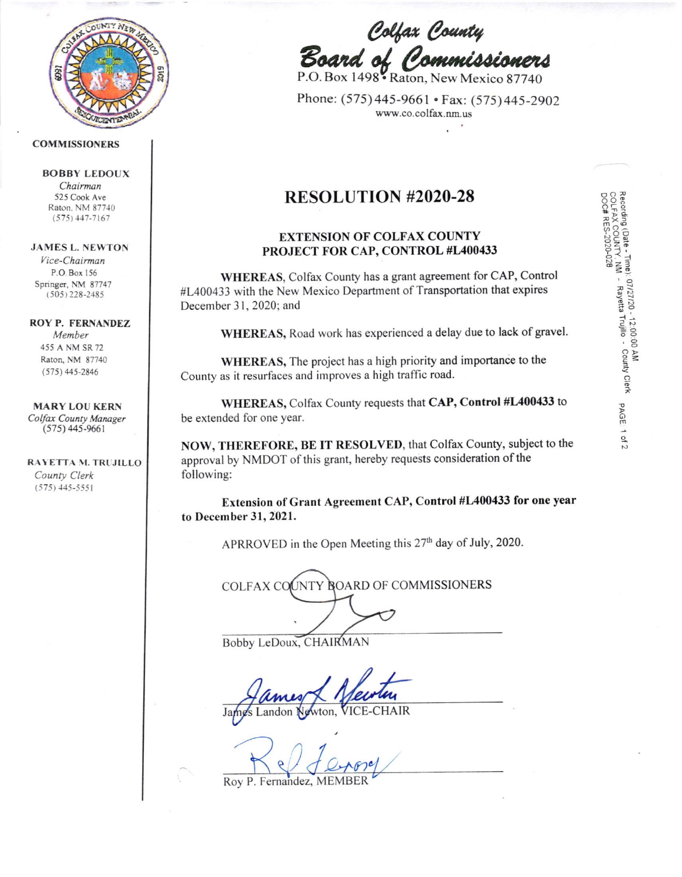

## **COMMISSIONERS**

#### **BOBBY LEDOUX** Chairman

525 Cook Ave Raton, NM 87740  $(575)$  447-7167

## **JAMES L. NEWTON**

Vice-Chairman P.O. Box 156 Springer, NM 87747  $(505)$  228-2485

#### **ROY P. FERNANDEZ**

Member 455 A NM SR 72 Raton, NM 87740  $(575)$  445-2846

# **MARY LOU KERN**

Colfax County Manager  $(575)$  445-9661

RAYETTA M. TRUJILLO County Clerk  $(575)$  445-5551

Colfax County<br>**Board of Commissioners**<br>P.O.Box 1498 Raton, New Mexico 87740

Phone: (575) 445-9661 • Fax: (575) 445-2902 www.co.colfax.nm.us

Recording (Date - Time): 07/27/20 - 12:00:00 AM<br>COLFAX COUNTY, NM - Rayetta Trujillo - County Clerk<br>DOC# RES-2020-028

PAGE: 1

of 2

# **RESOLUTION #2020-28**

# **EXTENSION OF COLFAX COUNTY** PROJECT FOR CAP, CONTROL #L400433

WHEREAS, Colfax County has a grant agreement for CAP, Control #L400433 with the New Mexico Department of Transportation that expires December 31, 2020; and

WHEREAS, Road work has experienced a delay due to lack of gravel.

WHEREAS, The project has a high priority and importance to the County as it resurfaces and improves a high traffic road.

WHEREAS, Colfax County requests that CAP, Control #L400433 to be extended for one year.

NOW, THEREFORE, BE IT RESOLVED, that Colfax County, subject to the approval by NMDOT of this grant, hereby requests consideration of the following:

Extension of Grant Agreement CAP, Control #L400433 for one year to December 31, 2021.

APRROVED in the Open Meeting this 27<sup>th</sup> day of July, 2020.

| COLFAX COUNTY BOARD OF COMMISSIONERS |
|--------------------------------------|
|                                      |
|                                      |

Bobby LeDoux, CHAIRMAN

 $vton$ 

Roy P. Fernandez, MEMB